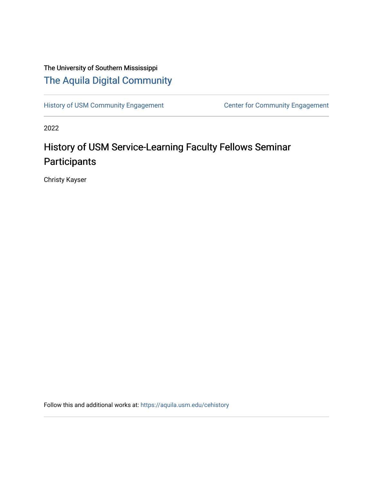# The University of Southern Mississippi [The Aquila Digital Community](https://aquila.usm.edu/)

[History of USM Community Engagement](https://aquila.usm.edu/cehistory) Center for Community Engagement

2022

# History of USM Service-Learning Faculty Fellows Seminar **Participants**

Christy Kayser

Follow this and additional works at: [https://aquila.usm.edu/cehistory](https://aquila.usm.edu/cehistory?utm_source=aquila.usm.edu%2Fcehistory%2F2&utm_medium=PDF&utm_campaign=PDFCoverPages)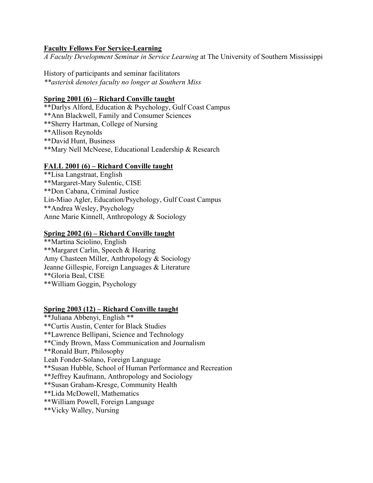#### **Faculty Fellows For Service-Learning**

*A Faculty Development Seminar in Service Learning* at The University of Southern Mississippi

History of participants and seminar facilitators *\*\*asterisk denotes faculty no longer at Southern Miss*

#### **Spring 2001 (6) – Richard Conville taught**

\*\*Darlys Alford, Education & Psychology, Gulf Coast Campus \*\*Ann Blackwell, Family and Consumer Sciences \*\*Sherry Hartman, College of Nursing \*\*Allison Reynolds \*\*David Hunt, Business \*\*Mary Nell McNeese, Educational Leadership & Research

#### **FALL 2001 (6) – Richard Conville taught**

\*\*Lisa Langstraat, English \*\*Margaret-Mary Sulentic, CISE \*\*Don Cabana, Criminal Justice Lin-Miao Agler, Education/Psychology, Gulf Coast Campus \*\*Andrea Wesley, Psychology Anne Marie Kinnell, Anthropology & Sociology

#### **Spring 2002 (6) – Richard Conville taught**

\*\*Martina Sciolino, English \*\*Margaret Carlin, Speech & Hearing Amy Chasteen Miller, Anthropology & Sociology Jeanne Gillespie, Foreign Languages & Literature \*\*Gloria Beal, CISE \*\*William Goggin, Psychology

#### **Spring 2003 (12) – Richard Conville taught**

\*\*Juliana Abbenyi, English \*\* \*\*Curtis Austin, Center for Black Studies \*\*Lawrence Bellipani, Science and Technology \*\*Cindy Brown, Mass Communication and Journalism \*\*Ronald Burr, Philosophy Leah Fonder-Solano, Foreign Language \*\*Susan Hubble, School of Human Performance and Recreation \*\*Jeffrey Kaufmann, Anthropology and Sociology \*\*Susan Graham-Kresge, Community Health \*\*Lida McDowell, Mathematics \*\*William Powell, Foreign Language \*\*Vicky Walley, Nursing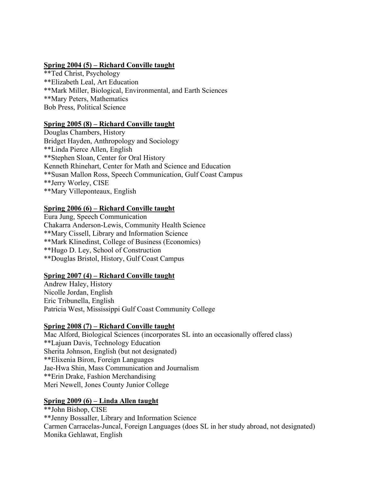#### **Spring 2004 (5) – Richard Conville taught**

\*\*Ted Christ, Psychology \*\*Elizabeth Leal, Art Education \*\*Mark Miller, Biological, Environmental, and Earth Sciences \*\*Mary Peters, Mathematics Bob Press, Political Science

#### **Spring 2005 (8) – Richard Conville taught**

Douglas Chambers, History Bridget Hayden, Anthropology and Sociology \*\*Linda Pierce Allen, English \*\*Stephen Sloan, Center for Oral History Kenneth Rhinehart, Center for Math and Science and Education \*\*Susan Mallon Ross, Speech Communication, Gulf Coast Campus \*\*Jerry Worley, CISE \*\*Mary Villeponteaux, English

#### **Spring 2006 (6) – Richard Conville taught**

Eura Jung, Speech Communication Chakarra Anderson-Lewis, Community Health Science \*\*Mary Cissell, Library and Information Science \*\*Mark Klinedinst, College of Business (Economics) \*\*Hugo D. Ley, School of Construction \*\*Douglas Bristol, History, Gulf Coast Campus

#### **Spring 2007 (4) – Richard Conville taught**

Andrew Haley, History Nicolle Jordan, English Eric Tribunella, English Patricia West, Mississippi Gulf Coast Community College

#### **Spring 2008 (7) – Richard Conville taught**

Mac Alford, Biological Sciences (incorporates SL into an occasionally offered class) \*\*Lajuan Davis, Technology Education Sherita Johnson, English (but not designated) \*\*Elixenia Biron, Foreign Languages Jae-Hwa Shin, Mass Communication and Journalism \*\*Erin Drake, Fashion Merchandising Meri Newell, Jones County Junior College

#### **Spring 2009 (6) – Linda Allen taught**

\*\*John Bishop, CISE \*\*Jenny Bossaller, Library and Information Science Carmen Carracelas-Juncal, Foreign Languages (does SL in her study abroad, not designated) Monika Gehlawat, English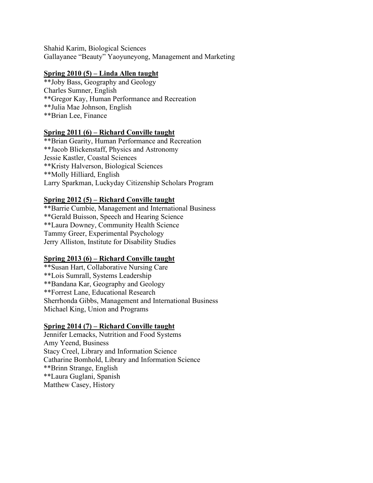Shahid Karim, Biological Sciences Gallayanee "Beauty" Yaoyuneyong, Management and Marketing

## **Spring 2010 (5) – Linda Allen taught**

\*\*Joby Bass, Geography and Geology Charles Sumner, English \*\*Gregor Kay, Human Performance and Recreation \*\*Julia Mae Johnson, English \*\*Brian Lee, Finance

#### **Spring 2011 (6) – Richard Conville taught**

\*\*Brian Gearity, Human Performance and Recreation \*\*Jacob Blickenstaff, Physics and Astronomy Jessie Kastler, Coastal Sciences \*\*Kristy Halverson, Biological Sciences \*\*Molly Hilliard, English Larry Sparkman, Luckyday Citizenship Scholars Program

#### **Spring 2012 (5) – Richard Conville taught**

\*\*Barrie Cumbie, Management and International Business \*\*Gerald Buisson, Speech and Hearing Science \*\*Laura Downey, Community Health Science Tammy Greer, Experimental Psychology Jerry Alliston, Institute for Disability Studies

#### **Spring 2013 (6) – Richard Conville taught**

\*\*Susan Hart, Collaborative Nursing Care \*\*Lois Sumrall, Systems Leadership \*\*Bandana Kar, Geography and Geology \*\*Forrest Lane, Educational Research Sherrhonda Gibbs, Management and International Business Michael King, Union and Programs

#### **Spring 2014 (7) – Richard Conville taught**

Jennifer Lemacks, Nutrition and Food Systems Amy Yeend, Business Stacy Creel, Library and Information Science Catharine Bomhold, Library and Information Science \*\*Brinn Strange, English \*\*Laura Guglani, Spanish Matthew Casey, History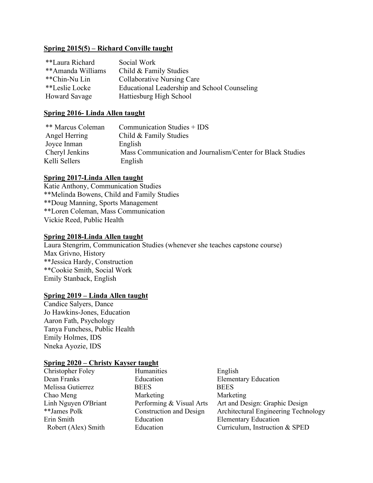#### **Spring 2015(5) – Richard Conville taught**

| **Laura Richard      | Social Work                                  |
|----------------------|----------------------------------------------|
| **Amanda Williams    | Child & Family Studies                       |
| **Chin-Nu Lin        | Collaborative Nursing Care                   |
| **Leslie Locke       | Educational Leadership and School Counseling |
| <b>Howard Savage</b> | Hattiesburg High School                      |

#### **Spring 2016- Linda Allen taught**

| ** Marcus Coleman | Communication Studies + IDS                                |
|-------------------|------------------------------------------------------------|
| Angel Herring     | Child & Family Studies                                     |
| Joyce Inman       | English                                                    |
| Cheryl Jenkins    | Mass Communication and Journalism/Center for Black Studies |
| Kelli Sellers     | English                                                    |

### **Spring 2017-Linda Allen taught**

Katie Anthony, Communication Studies \*\*Melinda Bowens, Child and Family Studies \*\*Doug Manning, Sports Management \*\*Loren Coleman, Mass Communication Vickie Reed, Public Health

#### **Spring 2018-Linda Allen taught**

Laura Stengrim, Communication Studies (whenever she teaches capstone course) Max Grivno, History \*\*Jessica Hardy, Construction \*\*Cookie Smith, Social Work Emily Stanback, English

#### **Spring 2019 – Linda Allen taught**

Candice Salyers, Dance Jo Hawkins-Jones, Education Aaron Fath, Psychology Tanya Funchess, Public Health Emily Holmes, IDS Nneka Ayozie, IDS

#### **Spring 2020 – Christy Kayser taught**

| Christopher Foley    | Humanities               | English                              |
|----------------------|--------------------------|--------------------------------------|
| Dean Franks          | Education                | <b>Elementary Education</b>          |
| Melissa Gutierrez    | <b>BEES</b>              | <b>BEES</b>                          |
| Chao Meng            | Marketing                | Marketing                            |
| Linh Nguyen O'Briant | Performing & Visual Arts | Art and Design: Graphic Design       |
| **James Polk         | Construction and Design  | Architectural Engineering Technology |
| Erin Smith           | Education                | <b>Elementary Education</b>          |
| Robert (Alex) Smith  | Education                | Curriculum, Instruction & SPED       |
|                      |                          |                                      |